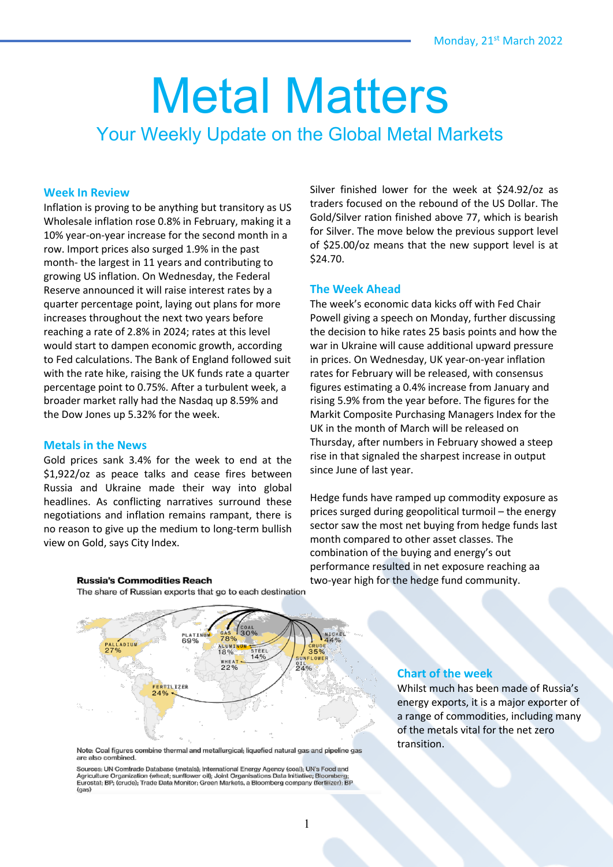# Metal Matters Your Weekly Update on the Global Metal Markets

## **Week In Review**

Inflation is proving to be anything but transitory as US Wholesale inflation rose 0.8% in February, making it a 10% year-on-year increase for the second month in a row. Import prices also surged 1.9% in the past month- the largest in 11 years and contributing to growing US inflation. On Wednesday, the Federal Reserve announced it will raise interest rates by a quarter percentage point, laying out plans for more increases throughout the next two years before reaching a rate of 2.8% in 2024; rates at this level would start to dampen economic growth, according to Fed calculations. The Bank of England followed suit with the rate hike, raising the UK funds rate a quarter percentage point to 0.75%. After a turbulent week, a broader market rally had the Nasdaq up 8.59% and the Dow Jones up 5.32% for the week.

## **Metals in the News**

Gold prices sank 3.4% for the week to end at the \$1,922/oz as peace talks and cease fires between Russia and Ukraine made their way into global headlines. As conflicting narratives surround these negotiations and inflation remains rampant, there is no reason to give up the medium to long-term bullish view on Gold, says City Index.

Silver finished lower for the week at \$24.92/oz as traders focused on the rebound of the US Dollar. The Gold/Silver ration finished above 77, which is bearish for Silver. The move below the previous support level of \$25.00/oz means that the new support level is at \$24.70.

## **The Week Ahead**

The week's economic data kicks off with Fed Chair Powell giving a speech on Monday, further discussing the decision to hike rates 25 basis points and how the war in Ukraine will cause additional upward pressure in prices. On Wednesday, UK year-on-year inflation rates for February will be released, with consensus figures estimating a 0.4% increase from January and rising 5.9% from the year before. The figures for the Markit Composite Purchasing Managers Index for the UK in the month of March will be released on Thursday, after numbers in February showed a steep rise in that signaled the sharpest increase in output since June of last year.

Hedge funds have ramped up commodity exposure as prices surged during geopolitical turmoil – the energy sector saw the most net buying from hedge funds last month compared to other asset classes. The combination of the buying and energy's out performance resulted in net exposure reaching aa two-year high for the hedge fund community.



**Russia's Commodities Reach** The share of Russian exports that go to each destination

Sources: UN Comtrade Database (metals); International Energy Agency (coal); UN's Food and Agriculture Organization (wheat; sunflower oil); Joint Organisations Data Initiative; Bloomberg;<br>Eurostat; BP; (crude); Trade Data Monitor; Green Markets, a Bloomberg company (fertilizer); BP  $(aas)$ 

#### **Chart of the week**

Whilst much has been made of Russia's energy exports, it is a major exporter of a range of commodities, including many of the metals vital for the net zero transition.

Note: Coal figures combine thermal and metallurgical; liquefied natural gas and pipeline gas are also combined.